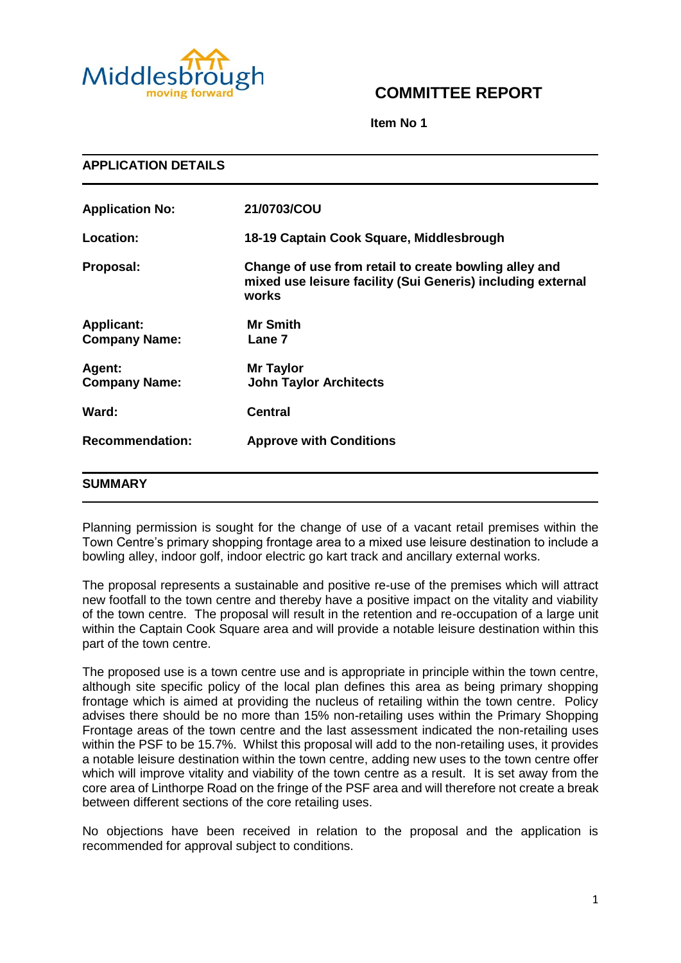

# **COMMITTEE REPORT**

**Item No 1**

| <b>APPLICATION DETAILS</b>                |                                                                                                                               |
|-------------------------------------------|-------------------------------------------------------------------------------------------------------------------------------|
| <b>Application No:</b>                    | 21/0703/COU                                                                                                                   |
| Location:                                 | 18-19 Captain Cook Square, Middlesbrough                                                                                      |
| Proposal:                                 | Change of use from retail to create bowling alley and<br>mixed use leisure facility (Sui Generis) including external<br>works |
| <b>Applicant:</b><br><b>Company Name:</b> | <b>Mr Smith</b><br>Lane 7                                                                                                     |
| Agent:<br><b>Company Name:</b>            | <b>Mr Taylor</b><br><b>John Taylor Architects</b>                                                                             |
| Ward:                                     | <b>Central</b>                                                                                                                |
| <b>Recommendation:</b>                    | <b>Approve with Conditions</b>                                                                                                |
| <b>SUMMARY</b>                            |                                                                                                                               |

Planning permission is sought for the change of use of a vacant retail premises within the Town Centre's primary shopping frontage area to a mixed use leisure destination to include a bowling alley, indoor golf, indoor electric go kart track and ancillary external works.

The proposal represents a sustainable and positive re-use of the premises which will attract new footfall to the town centre and thereby have a positive impact on the vitality and viability of the town centre. The proposal will result in the retention and re-occupation of a large unit within the Captain Cook Square area and will provide a notable leisure destination within this part of the town centre.

The proposed use is a town centre use and is appropriate in principle within the town centre, although site specific policy of the local plan defines this area as being primary shopping frontage which is aimed at providing the nucleus of retailing within the town centre. Policy advises there should be no more than 15% non-retailing uses within the Primary Shopping Frontage areas of the town centre and the last assessment indicated the non-retailing uses within the PSF to be 15.7%. Whilst this proposal will add to the non-retailing uses, it provides a notable leisure destination within the town centre, adding new uses to the town centre offer which will improve vitality and viability of the town centre as a result. It is set away from the core area of Linthorpe Road on the fringe of the PSF area and will therefore not create a break between different sections of the core retailing uses.

No objections have been received in relation to the proposal and the application is recommended for approval subject to conditions.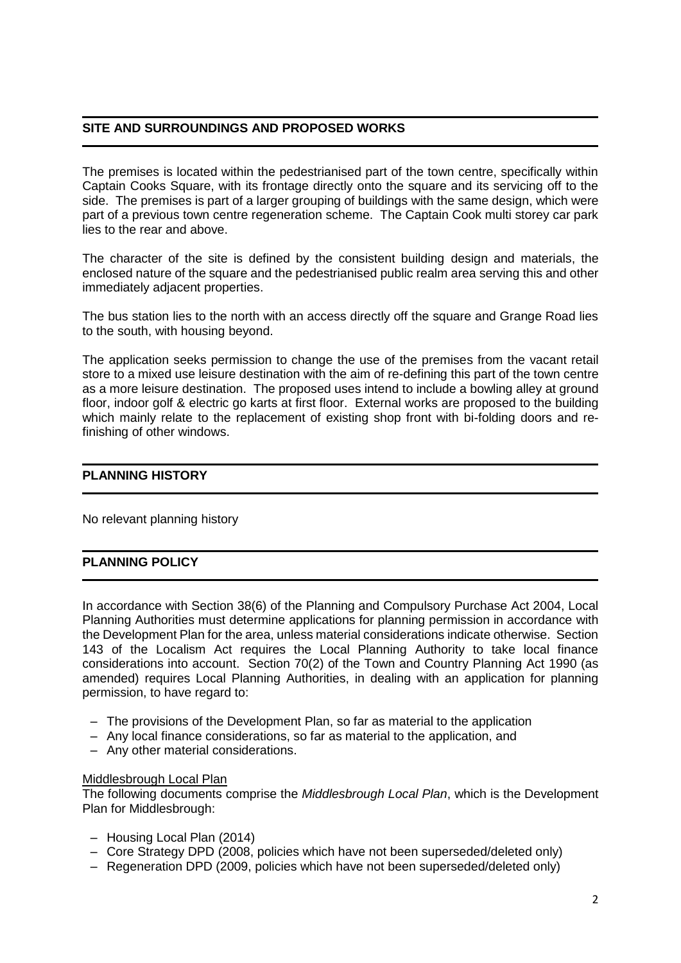## **SITE AND SURROUNDINGS AND PROPOSED WORKS**

The premises is located within the pedestrianised part of the town centre, specifically within Captain Cooks Square, with its frontage directly onto the square and its servicing off to the side. The premises is part of a larger grouping of buildings with the same design, which were part of a previous town centre regeneration scheme. The Captain Cook multi storey car park lies to the rear and above.

The character of the site is defined by the consistent building design and materials, the enclosed nature of the square and the pedestrianised public realm area serving this and other immediately adjacent properties.

The bus station lies to the north with an access directly off the square and Grange Road lies to the south, with housing beyond.

The application seeks permission to change the use of the premises from the vacant retail store to a mixed use leisure destination with the aim of re-defining this part of the town centre as a more leisure destination. The proposed uses intend to include a bowling alley at ground floor, indoor golf & electric go karts at first floor. External works are proposed to the building which mainly relate to the replacement of existing shop front with bi-folding doors and refinishing of other windows.

#### **PLANNING HISTORY**

No relevant planning history

# **PLANNING POLICY**

In accordance with Section 38(6) of the Planning and Compulsory Purchase Act 2004, Local Planning Authorities must determine applications for planning permission in accordance with the Development Plan for the area, unless material considerations indicate otherwise. Section 143 of the Localism Act requires the Local Planning Authority to take local finance considerations into account. Section 70(2) of the Town and Country Planning Act 1990 (as amended) requires Local Planning Authorities, in dealing with an application for planning permission, to have regard to:

- The provisions of the Development Plan, so far as material to the application
- Any local finance considerations, so far as material to the application, and
- Any other material considerations.

#### Middlesbrough Local Plan

The following documents comprise the *Middlesbrough Local Plan*, which is the Development Plan for Middlesbrough:

- Housing Local Plan (2014)
- Core Strategy DPD (2008, policies which have not been superseded/deleted only)
- Regeneration DPD (2009, policies which have not been superseded/deleted only)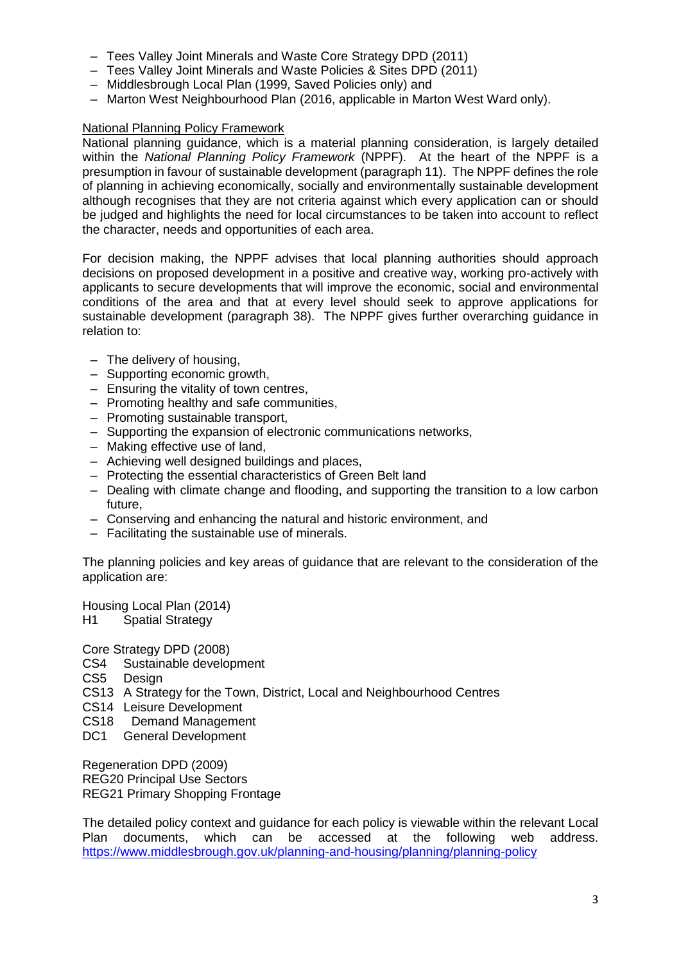- Tees Valley Joint Minerals and Waste Core Strategy DPD (2011)
- Tees Valley Joint Minerals and Waste Policies & Sites DPD (2011)
- Middlesbrough Local Plan (1999, Saved Policies only) and
- Marton West Neighbourhood Plan (2016, applicable in Marton West Ward only).

## National Planning Policy Framework

National planning guidance, which is a material planning consideration, is largely detailed within the *National Planning Policy Framework* (NPPF). At the heart of the NPPF is a presumption in favour of sustainable development (paragraph 11). The NPPF defines the role of planning in achieving economically, socially and environmentally sustainable development although recognises that they are not criteria against which every application can or should be judged and highlights the need for local circumstances to be taken into account to reflect the character, needs and opportunities of each area.

For decision making, the NPPF advises that local planning authorities should approach decisions on proposed development in a positive and creative way, working pro-actively with applicants to secure developments that will improve the economic, social and environmental conditions of the area and that at every level should seek to approve applications for sustainable development (paragraph 38). The NPPF gives further overarching guidance in relation to:

- The delivery of housing,
- Supporting economic growth,
- Ensuring the vitality of town centres,
- Promoting healthy and safe communities,
- Promoting sustainable transport,
- Supporting the expansion of electronic communications networks,
- Making effective use of land,
- Achieving well designed buildings and places,
- Protecting the essential characteristics of Green Belt land
- Dealing with climate change and flooding, and supporting the transition to a low carbon future,
- Conserving and enhancing the natural and historic environment, and
- Facilitating the sustainable use of minerals.

The planning policies and key areas of guidance that are relevant to the consideration of the application are:

Housing Local Plan (2014) H1 Spatial Strategy

Core Strategy DPD (2008)

CS4 Sustainable development

CS5 Design

- CS13 A Strategy for the Town, District, Local and Neighbourhood Centres
- CS14 Leisure Development
- CS18 Demand Management
- DC1 General Development

Regeneration DPD (2009) REG20 Principal Use Sectors REG21 Primary Shopping Frontage

The detailed policy context and guidance for each policy is viewable within the relevant Local Plan documents, which can be accessed at the following web address. <https://www.middlesbrough.gov.uk/planning-and-housing/planning/planning-policy>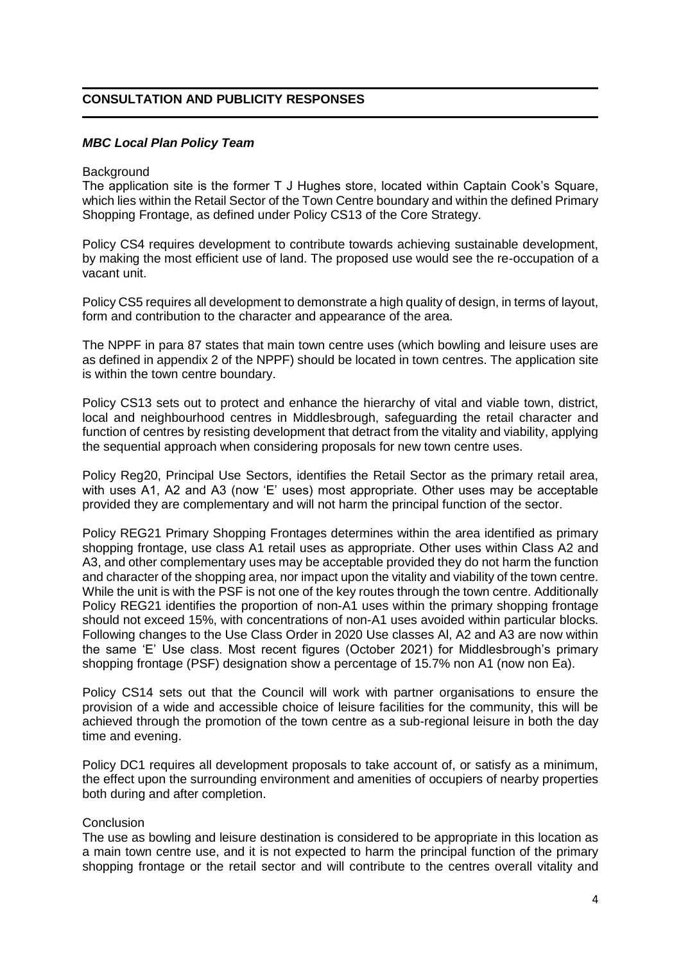# **CONSULTATION AND PUBLICITY RESPONSES**

#### *MBC Local Plan Policy Team*

#### **Background**

The application site is the former T J Hughes store, located within Captain Cook's Square, which lies within the Retail Sector of the Town Centre boundary and within the defined Primary Shopping Frontage, as defined under Policy CS13 of the Core Strategy.

Policy CS4 requires development to contribute towards achieving sustainable development, by making the most efficient use of land. The proposed use would see the re-occupation of a vacant unit.

Policy CS5 requires all development to demonstrate a high quality of design, in terms of layout, form and contribution to the character and appearance of the area.

The NPPF in para 87 states that main town centre uses (which bowling and leisure uses are as defined in appendix 2 of the NPPF) should be located in town centres. The application site is within the town centre boundary.

Policy CS13 sets out to protect and enhance the hierarchy of vital and viable town, district, local and neighbourhood centres in Middlesbrough, safeguarding the retail character and function of centres by resisting development that detract from the vitality and viability, applying the sequential approach when considering proposals for new town centre uses.

Policy Reg20, Principal Use Sectors, identifies the Retail Sector as the primary retail area, with uses A1, A2 and A3 (now 'E' uses) most appropriate. Other uses may be acceptable provided they are complementary and will not harm the principal function of the sector.

Policy REG21 Primary Shopping Frontages determines within the area identified as primary shopping frontage, use class A1 retail uses as appropriate. Other uses within Class A2 and A3, and other complementary uses may be acceptable provided they do not harm the function and character of the shopping area, nor impact upon the vitality and viability of the town centre. While the unit is with the PSF is not one of the key routes through the town centre. Additionally Policy REG21 identifies the proportion of non-A1 uses within the primary shopping frontage should not exceed 15%, with concentrations of non-A1 uses avoided within particular blocks. Following changes to the Use Class Order in 2020 Use classes Al, A2 and A3 are now within the same 'E' Use class. Most recent figures (October 2021) for Middlesbrough's primary shopping frontage (PSF) designation show a percentage of 15.7% non A1 (now non Ea).

Policy CS14 sets out that the Council will work with partner organisations to ensure the provision of a wide and accessible choice of leisure facilities for the community, this will be achieved through the promotion of the town centre as a sub-regional leisure in both the day time and evening.

Policy DC1 requires all development proposals to take account of, or satisfy as a minimum, the effect upon the surrounding environment and amenities of occupiers of nearby properties both during and after completion.

#### **Conclusion**

The use as bowling and leisure destination is considered to be appropriate in this location as a main town centre use, and it is not expected to harm the principal function of the primary shopping frontage or the retail sector and will contribute to the centres overall vitality and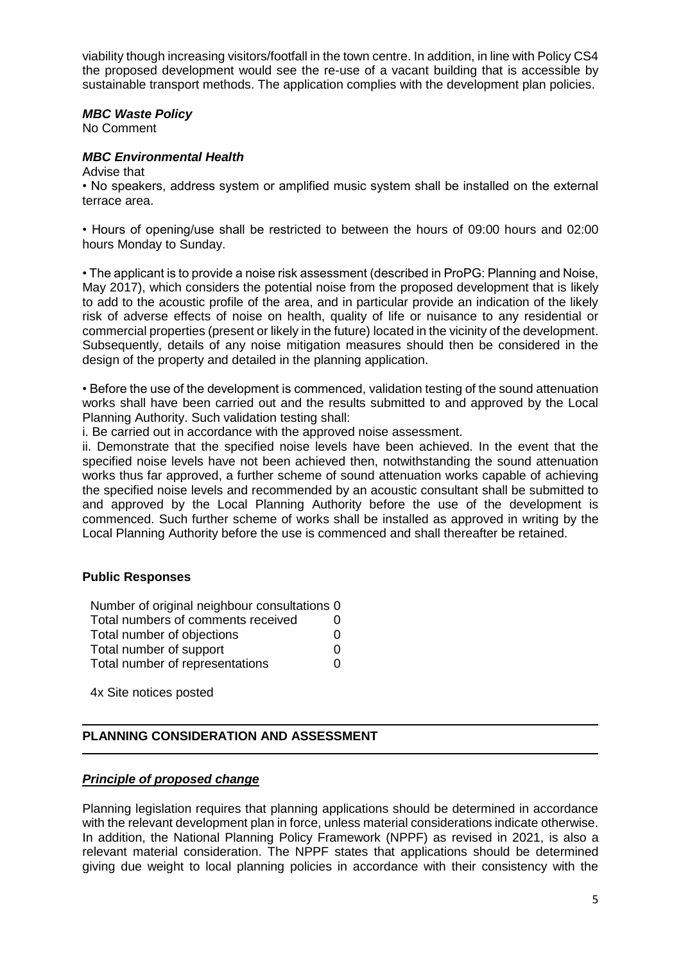viability though increasing visitors/footfall in the town centre. In addition, in line with Policy CS4 the proposed development would see the re-use of a vacant building that is accessible by sustainable transport methods. The application complies with the development plan policies.

#### *MBC Waste Policy*

No Comment

#### *MBC Environmental Health*

Advise that

• No speakers, address system or amplified music system shall be installed on the external terrace area.

• Hours of opening/use shall be restricted to between the hours of 09:00 hours and 02:00 hours Monday to Sunday.

• The applicant is to provide a noise risk assessment (described in ProPG: Planning and Noise, May 2017), which considers the potential noise from the proposed development that is likely to add to the acoustic profile of the area, and in particular provide an indication of the likely risk of adverse effects of noise on health, quality of life or nuisance to any residential or commercial properties (present or likely in the future) located in the vicinity of the development. Subsequently, details of any noise mitigation measures should then be considered in the design of the property and detailed in the planning application.

• Before the use of the development is commenced, validation testing of the sound attenuation works shall have been carried out and the results submitted to and approved by the Local Planning Authority. Such validation testing shall:

i. Be carried out in accordance with the approved noise assessment.

ii. Demonstrate that the specified noise levels have been achieved. In the event that the specified noise levels have not been achieved then, notwithstanding the sound attenuation works thus far approved, a further scheme of sound attenuation works capable of achieving the specified noise levels and recommended by an acoustic consultant shall be submitted to and approved by the Local Planning Authority before the use of the development is commenced. Such further scheme of works shall be installed as approved in writing by the Local Planning Authority before the use is commenced and shall thereafter be retained.

## **Public Responses**

Number of original neighbour consultations 0 Total numbers of comments received 0 Total number of objections 0 Total number of support 0 Total number of representations 0

4x Site notices posted

## **PLANNING CONSIDERATION AND ASSESSMENT**

## *Principle of proposed change*

Planning legislation requires that planning applications should be determined in accordance with the relevant development plan in force, unless material considerations indicate otherwise. In addition, the National Planning Policy Framework (NPPF) as revised in 2021, is also a relevant material consideration. The NPPF states that applications should be determined giving due weight to local planning policies in accordance with their consistency with the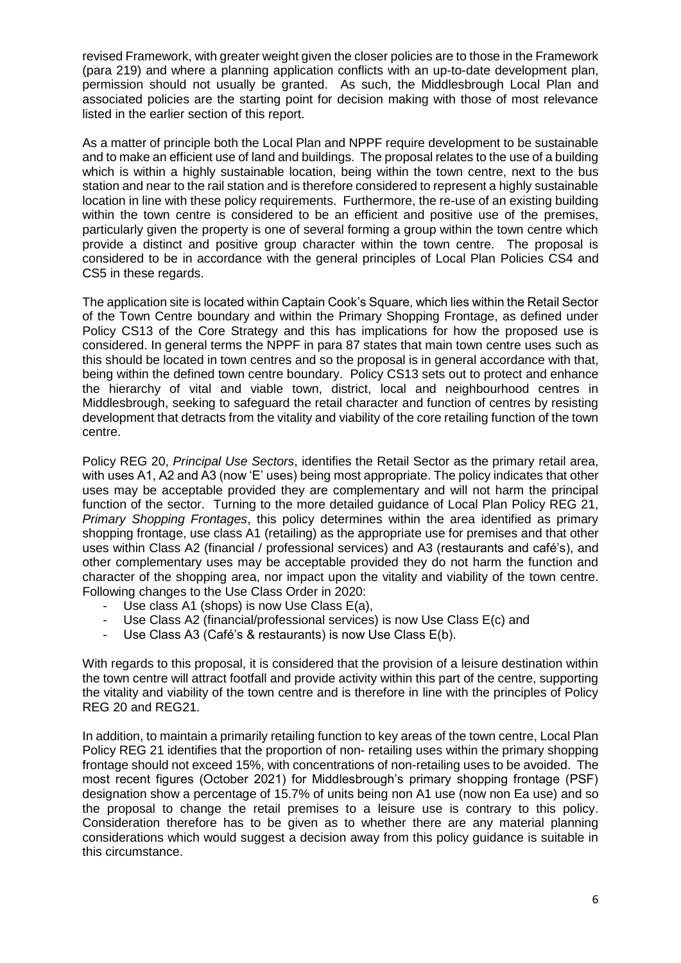revised Framework, with greater weight given the closer policies are to those in the Framework (para 219) and where a planning application conflicts with an up-to-date development plan, permission should not usually be granted. As such, the Middlesbrough Local Plan and associated policies are the starting point for decision making with those of most relevance listed in the earlier section of this report.

As a matter of principle both the Local Plan and NPPF require development to be sustainable and to make an efficient use of land and buildings. The proposal relates to the use of a building which is within a highly sustainable location, being within the town centre, next to the bus station and near to the rail station and is therefore considered to represent a highly sustainable location in line with these policy requirements. Furthermore, the re-use of an existing building within the town centre is considered to be an efficient and positive use of the premises, particularly given the property is one of several forming a group within the town centre which provide a distinct and positive group character within the town centre. The proposal is considered to be in accordance with the general principles of Local Plan Policies CS4 and CS5 in these regards.

The application site is located within Captain Cook's Square, which lies within the Retail Sector of the Town Centre boundary and within the Primary Shopping Frontage, as defined under Policy CS13 of the Core Strategy and this has implications for how the proposed use is considered. In general terms the NPPF in para 87 states that main town centre uses such as this should be located in town centres and so the proposal is in general accordance with that, being within the defined town centre boundary. Policy CS13 sets out to protect and enhance the hierarchy of vital and viable town, district, local and neighbourhood centres in Middlesbrough, seeking to safeguard the retail character and function of centres by resisting development that detracts from the vitality and viability of the core retailing function of the town centre.

Policy REG 20, *Principal Use Sectors*, identifies the Retail Sector as the primary retail area, with uses A1, A2 and A3 (now 'E' uses) being most appropriate. The policy indicates that other uses may be acceptable provided they are complementary and will not harm the principal function of the sector. Turning to the more detailed guidance of Local Plan Policy REG 21, *Primary Shopping Frontages*, this policy determines within the area identified as primary shopping frontage, use class A1 (retailing) as the appropriate use for premises and that other uses within Class A2 (financial / professional services) and A3 (restaurants and café's), and other complementary uses may be acceptable provided they do not harm the function and character of the shopping area, nor impact upon the vitality and viability of the town centre. Following changes to the Use Class Order in 2020:

- Use class A1 (shops) is now Use Class  $E(a)$ ,
- Use Class A2 (financial/professional services) is now Use Class E(c) and<br>- Use Class A3 (Café's & restaurants) is now Use Class E(b)
- Use Class A3 (Café's & restaurants) is now Use Class E(b).

With regards to this proposal, it is considered that the provision of a leisure destination within the town centre will attract footfall and provide activity within this part of the centre, supporting the vitality and viability of the town centre and is therefore in line with the principles of Policy REG 20 and REG21.

In addition, to maintain a primarily retailing function to key areas of the town centre, Local Plan Policy REG 21 identifies that the proportion of non- retailing uses within the primary shopping frontage should not exceed 15%, with concentrations of non-retailing uses to be avoided. The most recent figures (October 2021) for Middlesbrough's primary shopping frontage (PSF) designation show a percentage of 15.7% of units being non A1 use (now non Ea use) and so the proposal to change the retail premises to a leisure use is contrary to this policy. Consideration therefore has to be given as to whether there are any material planning considerations which would suggest a decision away from this policy guidance is suitable in this circumstance.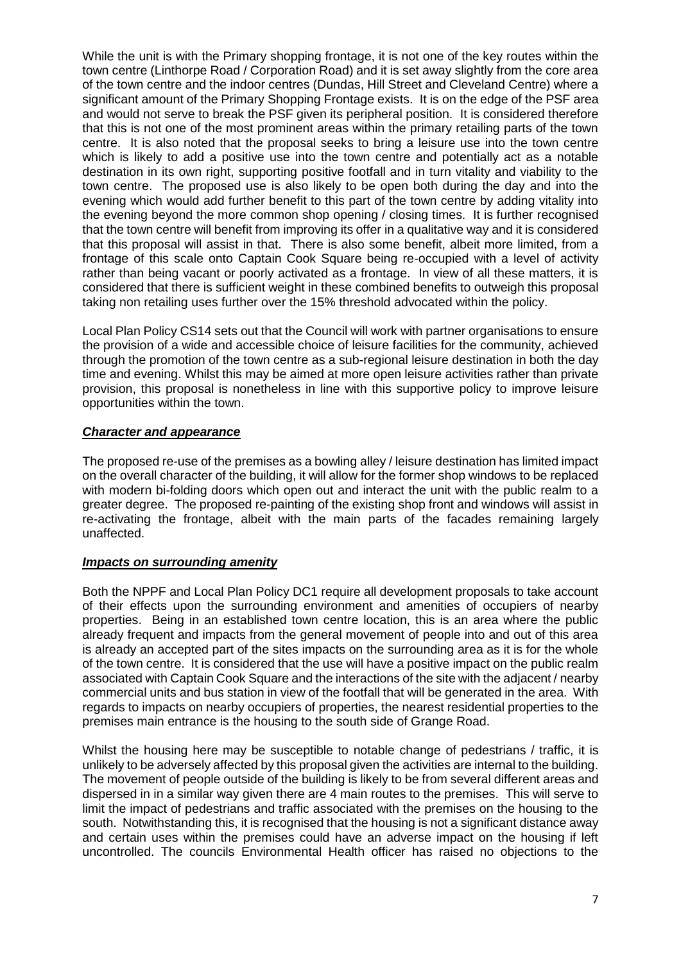While the unit is with the Primary shopping frontage, it is not one of the key routes within the town centre (Linthorpe Road / Corporation Road) and it is set away slightly from the core area of the town centre and the indoor centres (Dundas, Hill Street and Cleveland Centre) where a significant amount of the Primary Shopping Frontage exists. It is on the edge of the PSF area and would not serve to break the PSF given its peripheral position. It is considered therefore that this is not one of the most prominent areas within the primary retailing parts of the town centre. It is also noted that the proposal seeks to bring a leisure use into the town centre which is likely to add a positive use into the town centre and potentially act as a notable destination in its own right, supporting positive footfall and in turn vitality and viability to the town centre. The proposed use is also likely to be open both during the day and into the evening which would add further benefit to this part of the town centre by adding vitality into the evening beyond the more common shop opening / closing times. It is further recognised that the town centre will benefit from improving its offer in a qualitative way and it is considered that this proposal will assist in that. There is also some benefit, albeit more limited, from a frontage of this scale onto Captain Cook Square being re-occupied with a level of activity rather than being vacant or poorly activated as a frontage. In view of all these matters, it is considered that there is sufficient weight in these combined benefits to outweigh this proposal taking non retailing uses further over the 15% threshold advocated within the policy.

Local Plan Policy CS14 sets out that the Council will work with partner organisations to ensure the provision of a wide and accessible choice of leisure facilities for the community, achieved through the promotion of the town centre as a sub-regional leisure destination in both the day time and evening. Whilst this may be aimed at more open leisure activities rather than private provision, this proposal is nonetheless in line with this supportive policy to improve leisure opportunities within the town.

# *Character and appearance*

The proposed re-use of the premises as a bowling alley / leisure destination has limited impact on the overall character of the building, it will allow for the former shop windows to be replaced with modern bi-folding doors which open out and interact the unit with the public realm to a greater degree. The proposed re-painting of the existing shop front and windows will assist in re-activating the frontage, albeit with the main parts of the facades remaining largely unaffected.

## *Impacts on surrounding amenity*

Both the NPPF and Local Plan Policy DC1 require all development proposals to take account of their effects upon the surrounding environment and amenities of occupiers of nearby properties. Being in an established town centre location, this is an area where the public already frequent and impacts from the general movement of people into and out of this area is already an accepted part of the sites impacts on the surrounding area as it is for the whole of the town centre. It is considered that the use will have a positive impact on the public realm associated with Captain Cook Square and the interactions of the site with the adjacent / nearby commercial units and bus station in view of the footfall that will be generated in the area. With regards to impacts on nearby occupiers of properties, the nearest residential properties to the premises main entrance is the housing to the south side of Grange Road.

Whilst the housing here may be susceptible to notable change of pedestrians / traffic, it is unlikely to be adversely affected by this proposal given the activities are internal to the building. The movement of people outside of the building is likely to be from several different areas and dispersed in in a similar way given there are 4 main routes to the premises. This will serve to limit the impact of pedestrians and traffic associated with the premises on the housing to the south. Notwithstanding this, it is recognised that the housing is not a significant distance away and certain uses within the premises could have an adverse impact on the housing if left uncontrolled. The councils Environmental Health officer has raised no objections to the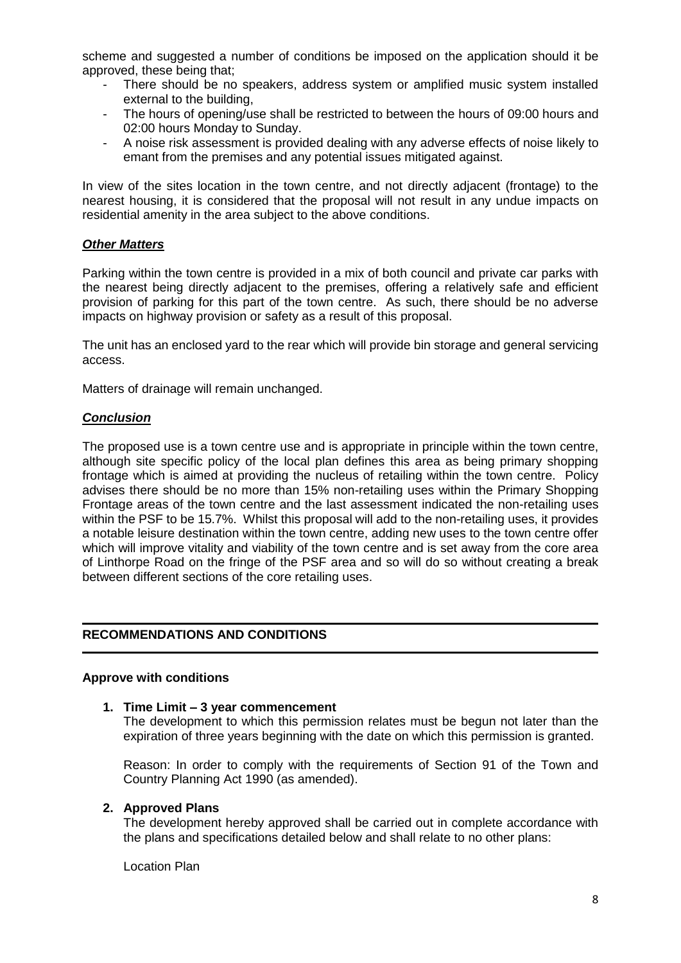scheme and suggested a number of conditions be imposed on the application should it be approved, these being that;

- There should be no speakers, address system or amplified music system installed external to the building,
- The hours of opening/use shall be restricted to between the hours of 09:00 hours and 02:00 hours Monday to Sunday.
- A noise risk assessment is provided dealing with any adverse effects of noise likely to emant from the premises and any potential issues mitigated against.

In view of the sites location in the town centre, and not directly adjacent (frontage) to the nearest housing, it is considered that the proposal will not result in any undue impacts on residential amenity in the area subject to the above conditions.

## *Other Matters*

Parking within the town centre is provided in a mix of both council and private car parks with the nearest being directly adjacent to the premises, offering a relatively safe and efficient provision of parking for this part of the town centre. As such, there should be no adverse impacts on highway provision or safety as a result of this proposal.

The unit has an enclosed yard to the rear which will provide bin storage and general servicing access.

Matters of drainage will remain unchanged.

## *Conclusion*

The proposed use is a town centre use and is appropriate in principle within the town centre, although site specific policy of the local plan defines this area as being primary shopping frontage which is aimed at providing the nucleus of retailing within the town centre. Policy advises there should be no more than 15% non-retailing uses within the Primary Shopping Frontage areas of the town centre and the last assessment indicated the non-retailing uses within the PSF to be 15.7%. Whilst this proposal will add to the non-retailing uses, it provides a notable leisure destination within the town centre, adding new uses to the town centre offer which will improve vitality and viability of the town centre and is set away from the core area of Linthorpe Road on the fringe of the PSF area and so will do so without creating a break between different sections of the core retailing uses.

# **RECOMMENDATIONS AND CONDITIONS**

#### **Approve with conditions**

#### **1. Time Limit – 3 year commencement**

The development to which this permission relates must be begun not later than the expiration of three years beginning with the date on which this permission is granted.

Reason: In order to comply with the requirements of Section 91 of the Town and Country Planning Act 1990 (as amended).

#### **2. Approved Plans**

The development hereby approved shall be carried out in complete accordance with the plans and specifications detailed below and shall relate to no other plans:

Location Plan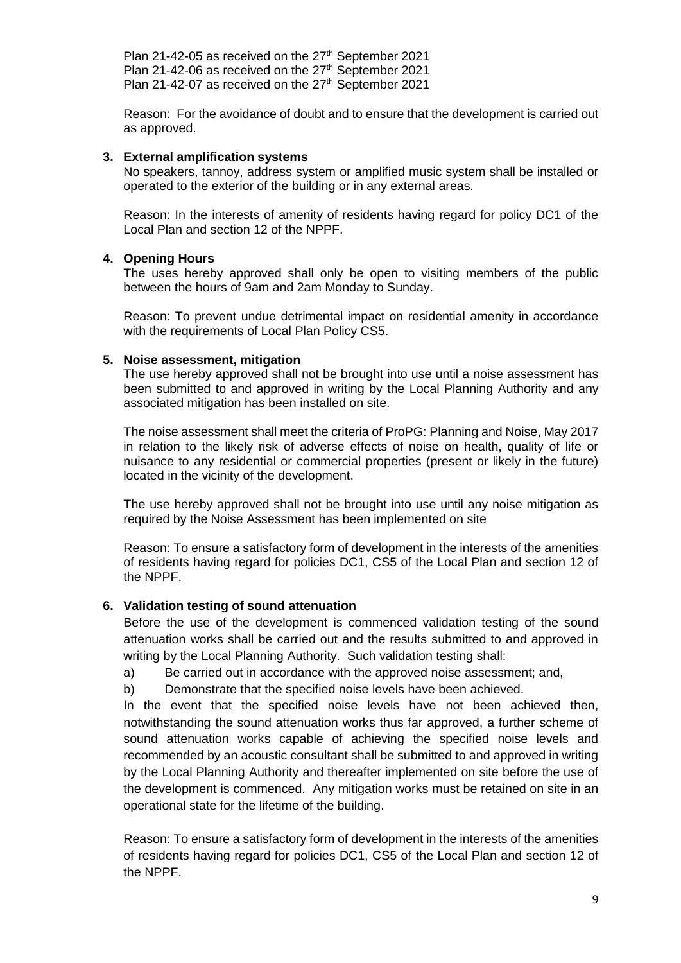Plan 21-42-05 as received on the 27<sup>th</sup> September 2021 Plan 21-42-06 as received on the 27<sup>th</sup> September 2021 Plan 21-42-07 as received on the 27<sup>th</sup> September 2021

Reason: For the avoidance of doubt and to ensure that the development is carried out as approved.

#### **3. External amplification systems**

No speakers, tannoy, address system or amplified music system shall be installed or operated to the exterior of the building or in any external areas.

Reason: In the interests of amenity of residents having regard for policy DC1 of the Local Plan and section 12 of the NPPF.

## **4. Opening Hours**

The uses hereby approved shall only be open to visiting members of the public between the hours of 9am and 2am Monday to Sunday.

Reason: To prevent undue detrimental impact on residential amenity in accordance with the requirements of Local Plan Policy CS5.

#### **5. Noise assessment, mitigation**

The use hereby approved shall not be brought into use until a noise assessment has been submitted to and approved in writing by the Local Planning Authority and any associated mitigation has been installed on site.

The noise assessment shall meet the criteria of ProPG: Planning and Noise, May 2017 in relation to the likely risk of adverse effects of noise on health, quality of life or nuisance to any residential or commercial properties (present or likely in the future) located in the vicinity of the development.

The use hereby approved shall not be brought into use until any noise mitigation as required by the Noise Assessment has been implemented on site

Reason: To ensure a satisfactory form of development in the interests of the amenities of residents having regard for policies DC1, CS5 of the Local Plan and section 12 of the NPPF.

## **6. Validation testing of sound attenuation**

Before the use of the development is commenced validation testing of the sound attenuation works shall be carried out and the results submitted to and approved in writing by the Local Planning Authority. Such validation testing shall:

- a) Be carried out in accordance with the approved noise assessment; and,
- b) Demonstrate that the specified noise levels have been achieved.

In the event that the specified noise levels have not been achieved then, notwithstanding the sound attenuation works thus far approved, a further scheme of sound attenuation works capable of achieving the specified noise levels and recommended by an acoustic consultant shall be submitted to and approved in writing by the Local Planning Authority and thereafter implemented on site before the use of the development is commenced. Any mitigation works must be retained on site in an operational state for the lifetime of the building.

Reason: To ensure a satisfactory form of development in the interests of the amenities of residents having regard for policies DC1, CS5 of the Local Plan and section 12 of the NPPF.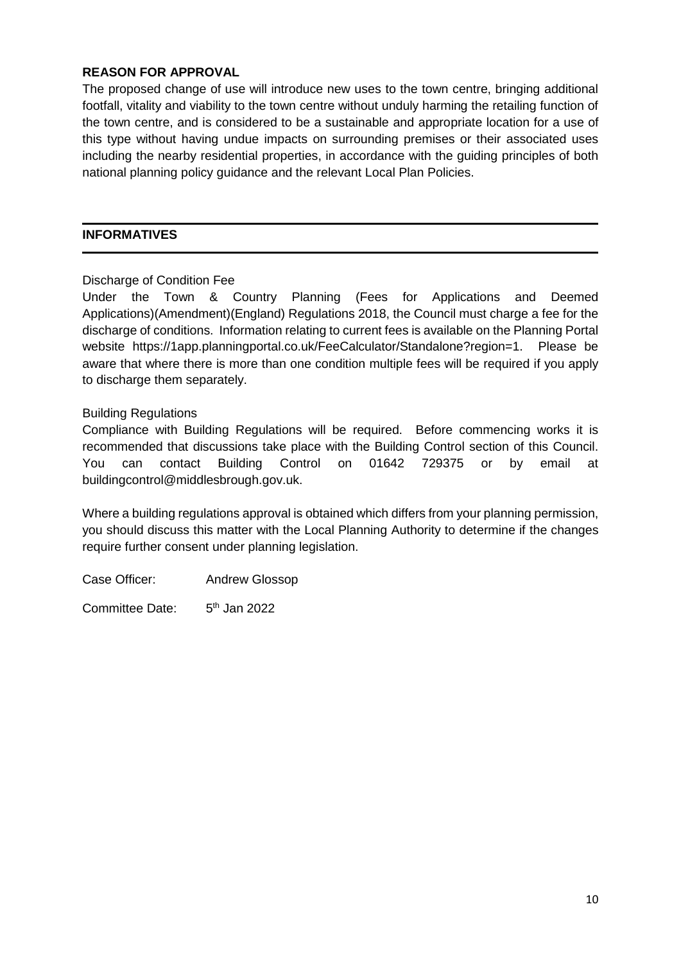# **REASON FOR APPROVAL**

The proposed change of use will introduce new uses to the town centre, bringing additional footfall, vitality and viability to the town centre without unduly harming the retailing function of the town centre, and is considered to be a sustainable and appropriate location for a use of this type without having undue impacts on surrounding premises or their associated uses including the nearby residential properties, in accordance with the guiding principles of both national planning policy guidance and the relevant Local Plan Policies.

## **INFORMATIVES**

# Discharge of Condition Fee

Under the Town & Country Planning (Fees for Applications and Deemed Applications)(Amendment)(England) Regulations 2018, the Council must charge a fee for the discharge of conditions. Information relating to current fees is available on the Planning Portal website https://1app.planningportal.co.uk/FeeCalculator/Standalone?region=1. Please be aware that where there is more than one condition multiple fees will be required if you apply to discharge them separately.

# Building Regulations

Compliance with Building Regulations will be required. Before commencing works it is recommended that discussions take place with the Building Control section of this Council. You can contact Building Control on 01642 729375 or by email at buildingcontrol@middlesbrough.gov.uk.

Where a building regulations approval is obtained which differs from your planning permission, you should discuss this matter with the Local Planning Authority to determine if the changes require further consent under planning legislation.

Case Officer: Andrew Glossop

Committee Date:  $5<sup>th</sup>$  Jan 2022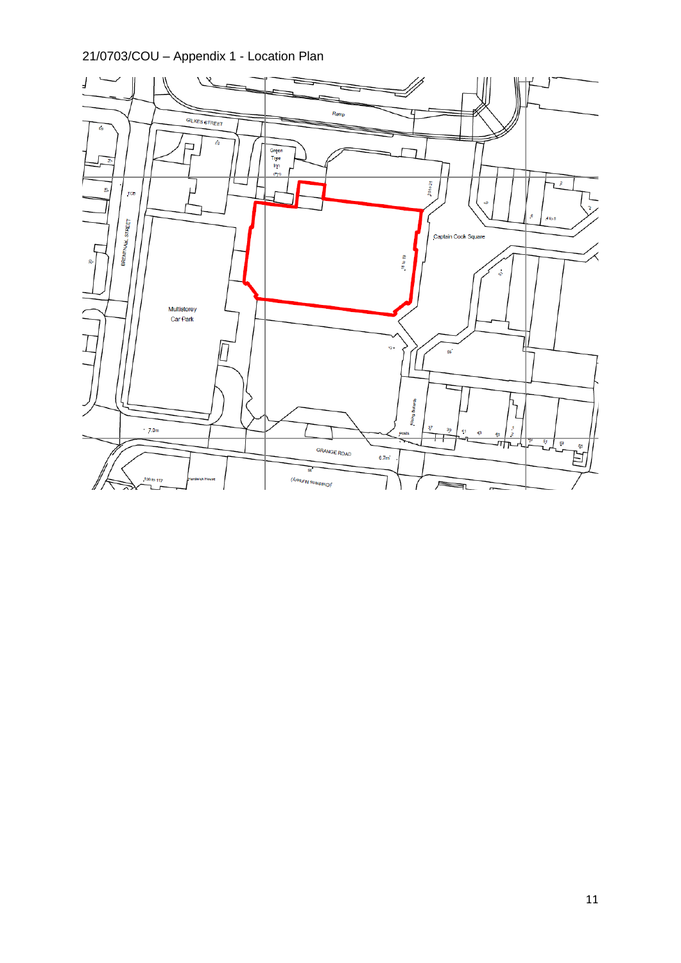21/0703/COU – Appendix 1 - Location Plan